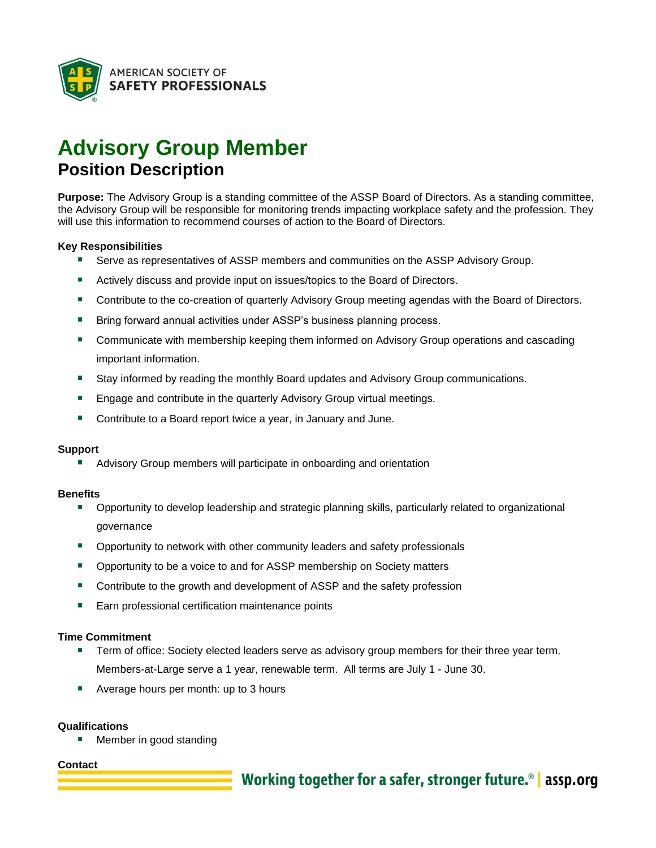

# **Advisory Group Member Position Description**

**Purpose:** The Advisory Group is a standing committee of the ASSP Board of Directors. As a standing committee, the Advisory Group will be responsible for monitoring trends impacting workplace safety and the profession. They will use this information to recommend courses of action to the Board of Directors.

## **Key Responsibilities**

- Serve as representatives of ASSP members and communities on the ASSP Advisory Group.
- Actively discuss and provide input on issues/topics to the Board of Directors.
- Contribute to the co-creation of quarterly Advisory Group meeting agendas with the Board of Directors.
- Bring forward annual activities under ASSP's business planning process.
- Communicate with membership keeping them informed on Advisory Group operations and cascading important information.
- Stay informed by reading the monthly Board updates and Advisory Group communications.
- Engage and contribute in the quarterly Advisory Group virtual meetings.
- Contribute to a Board report twice a year, in January and June.

### **Support**

■ Advisory Group members will participate in onboarding and orientation

### **Benefits**

- Opportunity to develop leadership and strategic planning skills, particularly related to organizational governance
- Opportunity to network with other community leaders and safety professionals
- Opportunity to be a voice to and for ASSP membership on Society matters
- Contribute to the growth and development of ASSP and the safety profession
- Earn professional certification maintenance points

### **Time Commitment**

- **E** Term of office: Society elected leaders serve as advisory group members for their three year term. Members-at-Large serve a 1 year, renewable term. All terms are July 1 - June 30.
- Average hours per month: up to 3 hours

### **Qualifications**

Member in good standing

### **Contact**